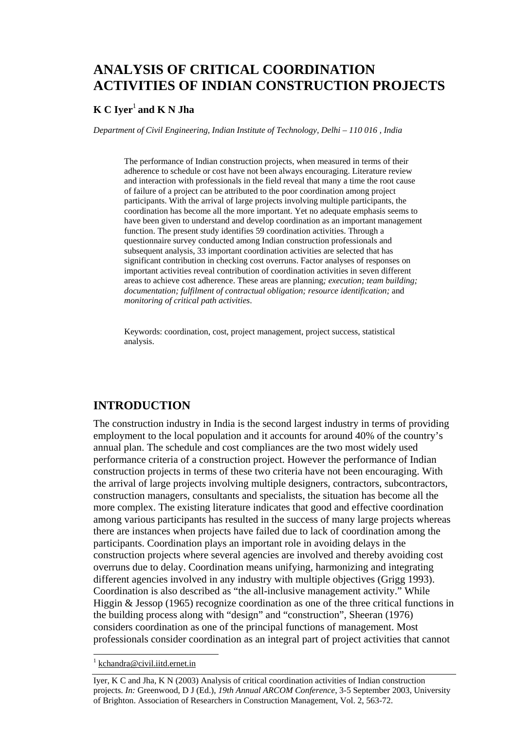# **ANALYSIS OF CRITICAL COORDINATION ACTIVITIES OF INDIAN CONSTRUCTION PROJECTS**

#### **K C Iyer**<sup>1</sup> **and K N Jha**

*Department of Civil Engineering, Indian Institute of Technology, Delhi – 110 016 , India* 

The performance of Indian construction projects, when measured in terms of their adherence to schedule or cost have not been always encouraging. Literature review and interaction with professionals in the field reveal that many a time the root cause of failure of a project can be attributed to the poor coordination among project participants. With the arrival of large projects involving multiple participants, the coordination has become all the more important. Yet no adequate emphasis seems to have been given to understand and develop coordination as an important management function. The present study identifies 59 coordination activities. Through a questionnaire survey conducted among Indian construction professionals and subsequent analysis, 33 important coordination activities are selected that has significant contribution in checking cost overruns. Factor analyses of responses on important activities reveal contribution of coordination activities in seven different areas to achieve cost adherence. These areas are planning*; execution; team building; documentation; fulfilment of contractual obligation; resource identification;* and *monitoring of critical path activities*.

Keywords: coordination, cost, project management, project success, statistical analysis.

## **INTRODUCTION**

The construction industry in India is the second largest industry in terms of providing employment to the local population and it accounts for around 40% of the country's annual plan. The schedule and cost compliances are the two most widely used performance criteria of a construction project. However the performance of Indian construction projects in terms of these two criteria have not been encouraging. With the arrival of large projects involving multiple designers, contractors, subcontractors, construction managers, consultants and specialists, the situation has become all the more complex. The existing literature indicates that good and effective coordination among various participants has resulted in the success of many large projects whereas there are instances when projects have failed due to lack of coordination among the participants. Coordination plays an important role in avoiding delays in the construction projects where several agencies are involved and thereby avoiding cost overruns due to delay. Coordination means unifying, harmonizing and integrating different agencies involved in any industry with multiple objectives (Grigg 1993). Coordination is also described as "the all-inclusive management activity." While Higgin & Jessop (1965) recognize coordination as one of the three critical functions in the building process along with "design" and "construction", Sheeran (1976) considers coordination as one of the principal functions of management. Most professionals consider coordination as an integral part of project activities that cannot

l

<sup>&</sup>lt;sup>1</sup> kchandra@civil.iitd.ernet.in

Iyer, K C and Jha, K N (2003) Analysis of critical coordination activities of Indian construction projects. *In:* Greenwood, D J (Ed.), *19th Annual ARCOM Conference*, 3-5 September 2003, University of Brighton. Association of Researchers in Construction Management, Vol. 2, 563-72.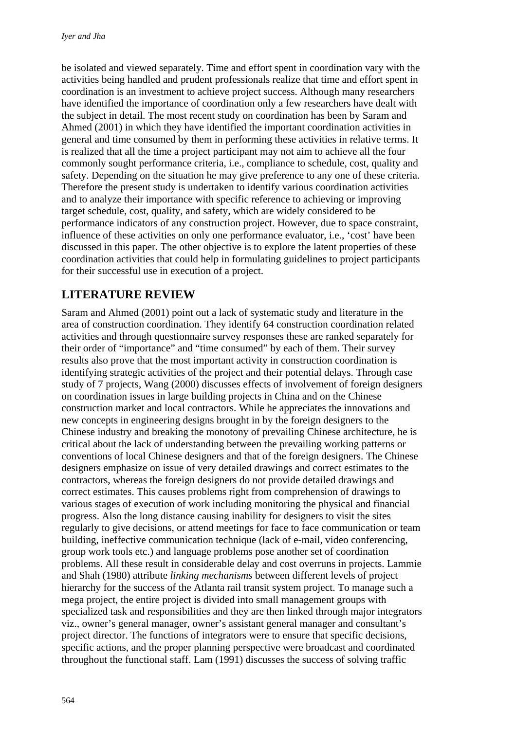be isolated and viewed separately. Time and effort spent in coordination vary with the activities being handled and prudent professionals realize that time and effort spent in coordination is an investment to achieve project success. Although many researchers have identified the importance of coordination only a few researchers have dealt with the subject in detail. The most recent study on coordination has been by Saram and Ahmed (2001) in which they have identified the important coordination activities in general and time consumed by them in performing these activities in relative terms. It is realized that all the time a project participant may not aim to achieve all the four commonly sought performance criteria, i.e., compliance to schedule, cost, quality and safety. Depending on the situation he may give preference to any one of these criteria. Therefore the present study is undertaken to identify various coordination activities and to analyze their importance with specific reference to achieving or improving target schedule, cost, quality, and safety, which are widely considered to be performance indicators of any construction project. However, due to space constraint, influence of these activities on only one performance evaluator, i.e., 'cost' have been discussed in this paper. The other objective is to explore the latent properties of these coordination activities that could help in formulating guidelines to project participants for their successful use in execution of a project.

## **LITERATURE REVIEW**

Saram and Ahmed (2001) point out a lack of systematic study and literature in the area of construction coordination. They identify 64 construction coordination related activities and through questionnaire survey responses these are ranked separately for their order of "importance" and "time consumed" by each of them. Their survey results also prove that the most important activity in construction coordination is identifying strategic activities of the project and their potential delays. Through case study of 7 projects, Wang (2000) discusses effects of involvement of foreign designers on coordination issues in large building projects in China and on the Chinese construction market and local contractors. While he appreciates the innovations and new concepts in engineering designs brought in by the foreign designers to the Chinese industry and breaking the monotony of prevailing Chinese architecture, he is critical about the lack of understanding between the prevailing working patterns or conventions of local Chinese designers and that of the foreign designers. The Chinese designers emphasize on issue of very detailed drawings and correct estimates to the contractors, whereas the foreign designers do not provide detailed drawings and correct estimates. This causes problems right from comprehension of drawings to various stages of execution of work including monitoring the physical and financial progress. Also the long distance causing inability for designers to visit the sites regularly to give decisions, or attend meetings for face to face communication or team building, ineffective communication technique (lack of e-mail, video conferencing, group work tools etc.) and language problems pose another set of coordination problems. All these result in considerable delay and cost overruns in projects. Lammie and Shah (1980) attribute *linking mechanisms* between different levels of project hierarchy for the success of the Atlanta rail transit system project. To manage such a mega project, the entire project is divided into small management groups with specialized task and responsibilities and they are then linked through major integrators viz., owner's general manager, owner's assistant general manager and consultant's project director. The functions of integrators were to ensure that specific decisions, specific actions, and the proper planning perspective were broadcast and coordinated throughout the functional staff. Lam (1991) discusses the success of solving traffic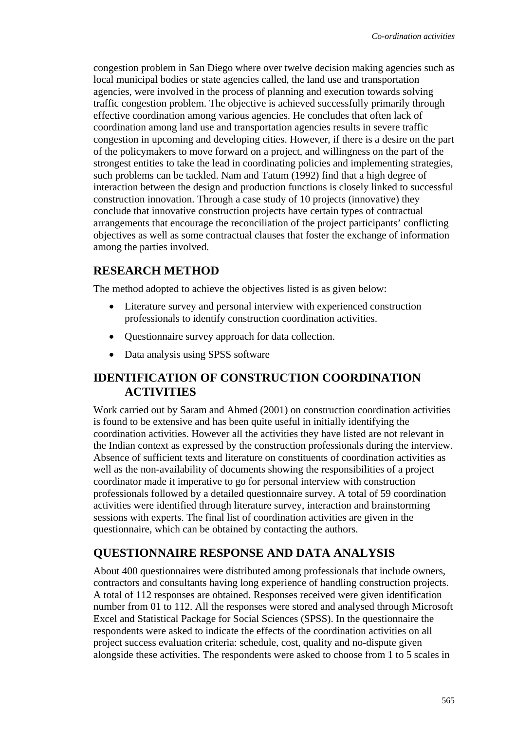congestion problem in San Diego where over twelve decision making agencies such as local municipal bodies or state agencies called, the land use and transportation agencies, were involved in the process of planning and execution towards solving traffic congestion problem. The objective is achieved successfully primarily through effective coordination among various agencies. He concludes that often lack of coordination among land use and transportation agencies results in severe traffic congestion in upcoming and developing cities. However, if there is a desire on the part of the policymakers to move forward on a project, and willingness on the part of the strongest entities to take the lead in coordinating policies and implementing strategies, such problems can be tackled. Nam and Tatum (1992) find that a high degree of interaction between the design and production functions is closely linked to successful construction innovation. Through a case study of 10 projects (innovative) they conclude that innovative construction projects have certain types of contractual arrangements that encourage the reconciliation of the project participants' conflicting objectives as well as some contractual clauses that foster the exchange of information among the parties involved.

### **RESEARCH METHOD**

The method adopted to achieve the objectives listed is as given below:

- Literature survey and personal interview with experienced construction professionals to identify construction coordination activities.
- Questionnaire survey approach for data collection.
- Data analysis using SPSS software

### **IDENTIFICATION OF CONSTRUCTION COORDINATION ACTIVITIES**

Work carried out by Saram and Ahmed (2001) on construction coordination activities is found to be extensive and has been quite useful in initially identifying the coordination activities. However all the activities they have listed are not relevant in the Indian context as expressed by the construction professionals during the interview. Absence of sufficient texts and literature on constituents of coordination activities as well as the non-availability of documents showing the responsibilities of a project coordinator made it imperative to go for personal interview with construction professionals followed by a detailed questionnaire survey. A total of 59 coordination activities were identified through literature survey, interaction and brainstorming sessions with experts. The final list of coordination activities are given in the questionnaire, which can be obtained by contacting the authors.

### **QUESTIONNAIRE RESPONSE AND DATA ANALYSIS**

About 400 questionnaires were distributed among professionals that include owners, contractors and consultants having long experience of handling construction projects. A total of 112 responses are obtained. Responses received were given identification number from 01 to 112. All the responses were stored and analysed through Microsoft Excel and Statistical Package for Social Sciences (SPSS). In the questionnaire the respondents were asked to indicate the effects of the coordination activities on all project success evaluation criteria: schedule, cost, quality and no-dispute given alongside these activities. The respondents were asked to choose from 1 to 5 scales in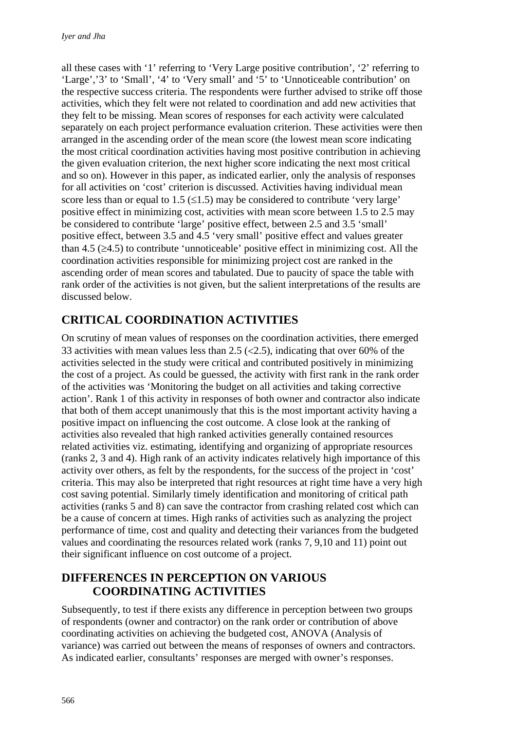all these cases with '1' referring to 'Very Large positive contribution', '2' referring to 'Large','3' to 'Small', '4' to 'Very small' and '5' to 'Unnoticeable contribution' on the respective success criteria. The respondents were further advised to strike off those activities, which they felt were not related to coordination and add new activities that they felt to be missing. Mean scores of responses for each activity were calculated separately on each project performance evaluation criterion. These activities were then arranged in the ascending order of the mean score (the lowest mean score indicating the most critical coordination activities having most positive contribution in achieving the given evaluation criterion, the next higher score indicating the next most critical and so on). However in this paper, as indicated earlier, only the analysis of responses for all activities on 'cost' criterion is discussed. Activities having individual mean score less than or equal to 1.5  $(\leq 1.5)$  may be considered to contribute 'very large' positive effect in minimizing cost, activities with mean score between 1.5 to 2.5 may be considered to contribute 'large' positive effect, between 2.5 and 3.5 'small' positive effect, between 3.5 and 4.5 'very small' positive effect and values greater than 4.5  $(\geq 4.5)$  to contribute 'unnoticeable' positive effect in minimizing cost. All the coordination activities responsible for minimizing project cost are ranked in the ascending order of mean scores and tabulated. Due to paucity of space the table with rank order of the activities is not given, but the salient interpretations of the results are discussed below.

# **CRITICAL COORDINATION ACTIVITIES**

On scrutiny of mean values of responses on the coordination activities, there emerged 33 activities with mean values less than 2.5 ( $\langle 2.5$ ), indicating that over 60% of the activities selected in the study were critical and contributed positively in minimizing the cost of a project. As could be guessed, the activity with first rank in the rank order of the activities was 'Monitoring the budget on all activities and taking corrective action'. Rank 1 of this activity in responses of both owner and contractor also indicate that both of them accept unanimously that this is the most important activity having a positive impact on influencing the cost outcome. A close look at the ranking of activities also revealed that high ranked activities generally contained resources related activities viz. estimating, identifying and organizing of appropriate resources (ranks 2, 3 and 4). High rank of an activity indicates relatively high importance of this activity over others, as felt by the respondents, for the success of the project in 'cost' criteria. This may also be interpreted that right resources at right time have a very high cost saving potential. Similarly timely identification and monitoring of critical path activities (ranks 5 and 8) can save the contractor from crashing related cost which can be a cause of concern at times. High ranks of activities such as analyzing the project performance of time, cost and quality and detecting their variances from the budgeted values and coordinating the resources related work (ranks 7, 9,10 and 11) point out their significant influence on cost outcome of a project.

### **DIFFERENCES IN PERCEPTION ON VARIOUS COORDINATING ACTIVITIES**

Subsequently, to test if there exists any difference in perception between two groups of respondents (owner and contractor) on the rank order or contribution of above coordinating activities on achieving the budgeted cost, ANOVA (Analysis of variance) was carried out between the means of responses of owners and contractors. As indicated earlier, consultants' responses are merged with owner's responses.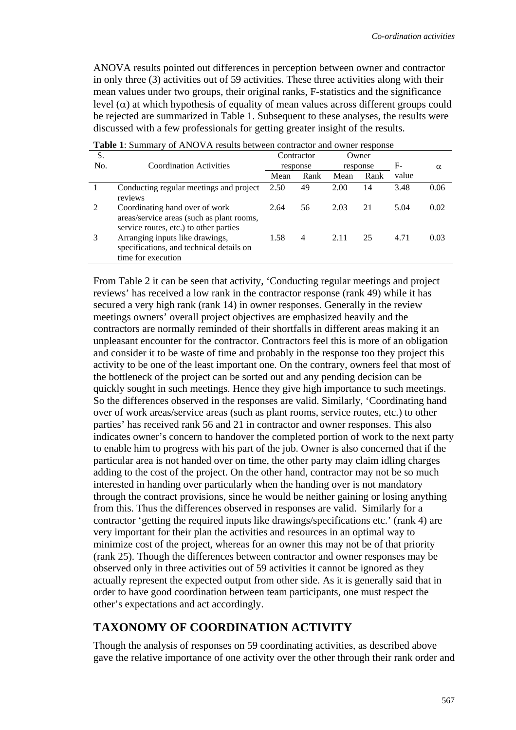ANOVA results pointed out differences in perception between owner and contractor in only three (3) activities out of 59 activities. These three activities along with their mean values under two groups, their original ranks, F-statistics and the significance level (α) at which hypothesis of equality of mean values across different groups could be rejected are summarized in Table 1. Subsequent to these analyses, the results were discussed with a few professionals for getting greater insight of the results.

| <b>Tuble 1:</b> Dumma y 01 Th (O ) IT Round between contractor and owner response |                                                                                                                       |          |            |          |       |                |      |
|-----------------------------------------------------------------------------------|-----------------------------------------------------------------------------------------------------------------------|----------|------------|----------|-------|----------------|------|
| S.                                                                                |                                                                                                                       |          | Contractor |          | Owner |                |      |
| No.                                                                               | <b>Coordination Activities</b>                                                                                        | response |            | response |       | F-<br>$\alpha$ |      |
|                                                                                   |                                                                                                                       | Mean     | Rank       | Mean     | Rank  | value          |      |
|                                                                                   | Conducting regular meetings and project<br>reviews                                                                    | 2.50     | 49         | 2.00     | 14    | 3.48           | 0.06 |
| 2                                                                                 | Coordinating hand over of work<br>areas/service areas (such as plant rooms,<br>service routes, etc.) to other parties | 2.64     | 56         | 2.03     | 21    | 5.04           | 0.02 |
| 3                                                                                 | Arranging inputs like drawings,<br>specifications, and technical details on<br>time for execution                     | 1.58     | 4          | 2.11     | 25    | 4.71           | 0.03 |

**Table 1**: Summary of ANOVA results between contractor and owner response

From Table 2 it can be seen that activity, 'Conducting regular meetings and project reviews' has received a low rank in the contractor response (rank 49) while it has secured a very high rank (rank 14) in owner responses. Generally in the review meetings owners' overall project objectives are emphasized heavily and the contractors are normally reminded of their shortfalls in different areas making it an unpleasant encounter for the contractor. Contractors feel this is more of an obligation and consider it to be waste of time and probably in the response too they project this activity to be one of the least important one. On the contrary, owners feel that most of the bottleneck of the project can be sorted out and any pending decision can be quickly sought in such meetings. Hence they give high importance to such meetings. So the differences observed in the responses are valid. Similarly, 'Coordinating hand over of work areas/service areas (such as plant rooms, service routes, etc.) to other parties' has received rank 56 and 21 in contractor and owner responses. This also indicates owner's concern to handover the completed portion of work to the next party to enable him to progress with his part of the job. Owner is also concerned that if the particular area is not handed over on time, the other party may claim idling charges adding to the cost of the project. On the other hand, contractor may not be so much interested in handing over particularly when the handing over is not mandatory through the contract provisions, since he would be neither gaining or losing anything from this. Thus the differences observed in responses are valid. Similarly for a contractor 'getting the required inputs like drawings/specifications etc.' (rank 4) are very important for their plan the activities and resources in an optimal way to minimize cost of the project, whereas for an owner this may not be of that priority (rank 25). Though the differences between contractor and owner responses may be observed only in three activities out of 59 activities it cannot be ignored as they actually represent the expected output from other side. As it is generally said that in order to have good coordination between team participants, one must respect the other's expectations and act accordingly.

### **TAXONOMY OF COORDINATION ACTIVITY**

Though the analysis of responses on 59 coordinating activities, as described above gave the relative importance of one activity over the other through their rank order and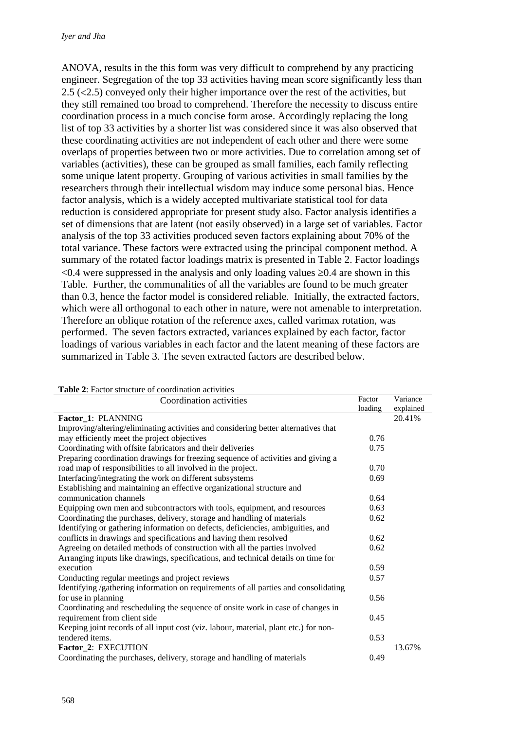ANOVA, results in the this form was very difficult to comprehend by any practicing engineer. Segregation of the top 33 activities having mean score significantly less than 2.5 (<2.5) conveyed only their higher importance over the rest of the activities, but they still remained too broad to comprehend. Therefore the necessity to discuss entire coordination process in a much concise form arose. Accordingly replacing the long list of top 33 activities by a shorter list was considered since it was also observed that these coordinating activities are not independent of each other and there were some overlaps of properties between two or more activities. Due to correlation among set of variables (activities), these can be grouped as small families, each family reflecting some unique latent property. Grouping of various activities in small families by the researchers through their intellectual wisdom may induce some personal bias. Hence factor analysis, which is a widely accepted multivariate statistical tool for data reduction is considered appropriate for present study also. Factor analysis identifies a set of dimensions that are latent (not easily observed) in a large set of variables. Factor analysis of the top 33 activities produced seven factors explaining about 70% of the total variance. These factors were extracted using the principal component method. A summary of the rotated factor loadings matrix is presented in Table 2. Factor loadings  $\leq 0.4$  were suppressed in the analysis and only loading values  $\geq 0.4$  are shown in this Table. Further, the communalities of all the variables are found to be much greater than 0.3, hence the factor model is considered reliable. Initially, the extracted factors, which were all orthogonal to each other in nature, were not amenable to interpretation. Therefore an oblique rotation of the reference axes, called varimax rotation, was performed. The seven factors extracted, variances explained by each factor, factor loadings of various variables in each factor and the latent meaning of these factors are summarized in Table 3. The seven extracted factors are described below.

| <b>r able 2.</b> Factor structure or coordination activities                         | Factor  | Variance  |
|--------------------------------------------------------------------------------------|---------|-----------|
| Coordination activities                                                              | loading | explained |
| Factor_1: PLANNING                                                                   |         | 20.41%    |
| Improving/altering/eliminating activities and considering better alternatives that   |         |           |
| may efficiently meet the project objectives                                          | 0.76    |           |
| Coordinating with offsite fabricators and their deliveries                           | 0.75    |           |
| Preparing coordination drawings for freezing sequence of activities and giving a     |         |           |
| road map of responsibilities to all involved in the project.                         | 0.70    |           |
| Interfacing/integrating the work on different subsystems                             | 0.69    |           |
| Establishing and maintaining an effective organizational structure and               |         |           |
| communication channels                                                               | 0.64    |           |
| Equipping own men and subcontractors with tools, equipment, and resources            | 0.63    |           |
| Coordinating the purchases, delivery, storage and handling of materials              | 0.62    |           |
| Identifying or gathering information on defects, deficiencies, ambiguities, and      |         |           |
| conflicts in drawings and specifications and having them resolved                    | 0.62    |           |
| Agreeing on detailed methods of construction with all the parties involved           | 0.62    |           |
| Arranging inputs like drawings, specifications, and technical details on time for    |         |           |
| execution                                                                            | 0.59    |           |
| Conducting regular meetings and project reviews                                      | 0.57    |           |
| Identifying /gathering information on requirements of all parties and consolidating  |         |           |
| for use in planning                                                                  | 0.56    |           |
| Coordinating and rescheduling the sequence of onsite work in case of changes in      |         |           |
| requirement from client side                                                         | 0.45    |           |
| Keeping joint records of all input cost (viz. labour, material, plant etc.) for non- |         |           |
| tendered items.                                                                      | 0.53    |           |
| Factor_2: EXECUTION                                                                  |         | 13.67%    |
| Coordinating the purchases, delivery, storage and handling of materials              | 0.49    |           |

**Table 2**: Factor structure of coordination activities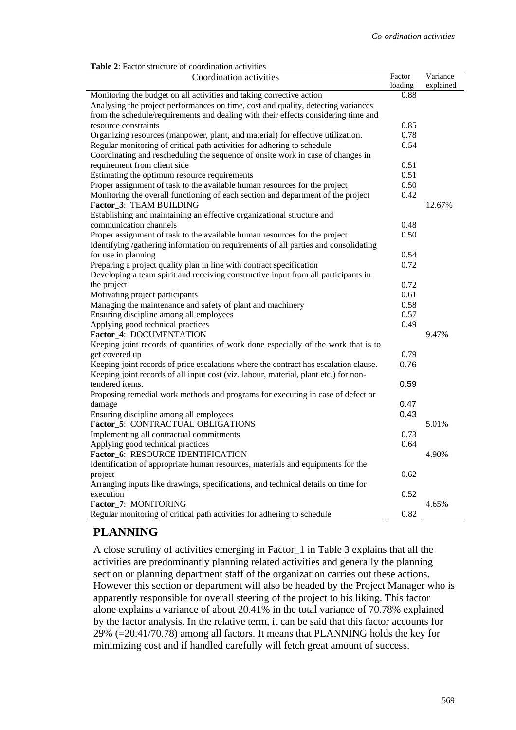|  |  | <b>Table 2:</b> Factor structure of coordination activities |  |
|--|--|-------------------------------------------------------------|--|
|  |  |                                                             |  |

| Coordination activities                                                                      | Factor<br>loading | Variance<br>explained |
|----------------------------------------------------------------------------------------------|-------------------|-----------------------|
| Monitoring the budget on all activities and taking corrective action                         | 0.88              |                       |
| Analysing the project performances on time, cost and quality, detecting variances            |                   |                       |
| from the schedule/requirements and dealing with their effects considering time and           |                   |                       |
| resource constraints                                                                         | 0.85              |                       |
| Organizing resources (manpower, plant, and material) for effective utilization.              | 0.78              |                       |
| Regular monitoring of critical path activities for adhering to schedule                      | 0.54              |                       |
| Coordinating and rescheduling the sequence of onsite work in case of changes in              |                   |                       |
| requirement from client side                                                                 | 0.51              |                       |
| Estimating the optimum resource requirements                                                 | 0.51              |                       |
| Proper assignment of task to the available human resources for the project                   | 0.50              |                       |
| Monitoring the overall functioning of each section and department of the project             | 0.42              |                       |
| Factor 3: TEAM BUILDING                                                                      |                   | 12.67%                |
| Establishing and maintaining an effective organizational structure and                       |                   |                       |
| communication channels                                                                       | 0.48              |                       |
| Proper assignment of task to the available human resources for the project                   | 0.50              |                       |
| Identifying /gathering information on requirements of all parties and consolidating          |                   |                       |
| for use in planning                                                                          | 0.54              |                       |
| Preparing a project quality plan in line with contract specification                         | 0.72              |                       |
| Developing a team spirit and receiving constructive input from all participants in           |                   |                       |
| the project                                                                                  | 0.72              |                       |
| Motivating project participants                                                              | 0.61              |                       |
| Managing the maintenance and safety of plant and machinery                                   | 0.58              |                       |
| Ensuring discipline among all employees                                                      | 0.57              |                       |
| Applying good technical practices                                                            | 0.49              |                       |
| Factor_4: DOCUMENTATION                                                                      |                   | 9.47%                 |
| Keeping joint records of quantities of work done especially of the work that is to           |                   |                       |
| get covered up                                                                               | 0.79              |                       |
| Keeping joint records of price escalations where the contract has escalation clause.         | 0.76              |                       |
| Keeping joint records of all input cost (viz. labour, material, plant etc.) for non-         |                   |                       |
| tendered items.                                                                              | 0.59              |                       |
| Proposing remedial work methods and programs for executing in case of defect or              |                   |                       |
| damage                                                                                       | 0.47              |                       |
| Ensuring discipline among all employees                                                      | 0.43              |                       |
| Factor_5: CONTRACTUAL OBLIGATIONS                                                            |                   | 5.01%                 |
| Implementing all contractual commitments                                                     | 0.73              |                       |
| Applying good technical practices                                                            | 0.64              |                       |
| Factor_6: RESOURCE IDENTIFICATION                                                            |                   | 4.90%                 |
| Identification of appropriate human resources, materials and equipments for the              |                   |                       |
|                                                                                              | 0.62              |                       |
| project<br>Arranging inputs like drawings, specifications, and technical details on time for |                   |                       |
| execution                                                                                    | 0.52              |                       |
|                                                                                              |                   | 4.65%                 |
| Factor_7: MONITORING                                                                         |                   |                       |
| Regular monitoring of critical path activities for adhering to schedule                      | 0.82              |                       |

## **PLANNING**

A close scrutiny of activities emerging in Factor\_1 in Table 3 explains that all the activities are predominantly planning related activities and generally the planning section or planning department staff of the organization carries out these actions. However this section or department will also be headed by the Project Manager who is apparently responsible for overall steering of the project to his liking. This factor alone explains a variance of about 20.41% in the total variance of 70.78% explained by the factor analysis. In the relative term, it can be said that this factor accounts for 29% (=20.41/70.78) among all factors. It means that PLANNING holds the key for minimizing cost and if handled carefully will fetch great amount of success.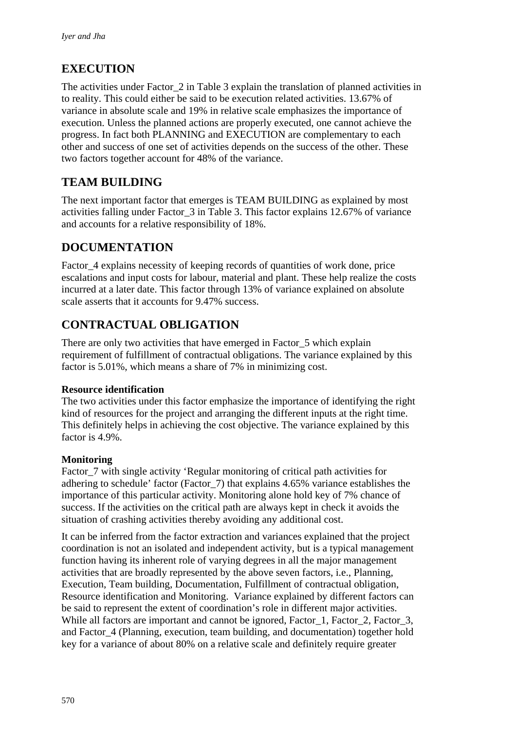# **EXECUTION**

The activities under Factor 2 in Table 3 explain the translation of planned activities in to reality. This could either be said to be execution related activities. 13.67% of variance in absolute scale and 19% in relative scale emphasizes the importance of execution. Unless the planned actions are properly executed, one cannot achieve the progress. In fact both PLANNING and EXECUTION are complementary to each other and success of one set of activities depends on the success of the other. These two factors together account for 48% of the variance.

# **TEAM BUILDING**

The next important factor that emerges is TEAM BUILDING as explained by most activities falling under Factor\_3 in Table 3. This factor explains 12.67% of variance and accounts for a relative responsibility of 18%.

# **DOCUMENTATION**

Factor\_4 explains necessity of keeping records of quantities of work done, price escalations and input costs for labour, material and plant. These help realize the costs incurred at a later date. This factor through 13% of variance explained on absolute scale asserts that it accounts for 9.47% success.

# **CONTRACTUAL OBLIGATION**

There are only two activities that have emerged in Factor\_5 which explain requirement of fulfillment of contractual obligations. The variance explained by this factor is 5.01%, which means a share of 7% in minimizing cost.

#### **Resource identification**

The two activities under this factor emphasize the importance of identifying the right kind of resources for the project and arranging the different inputs at the right time. This definitely helps in achieving the cost objective. The variance explained by this factor is 4.9%.

#### **Monitoring**

Factor 7 with single activity 'Regular monitoring of critical path activities for adhering to schedule' factor (Factor\_7) that explains 4.65% variance establishes the importance of this particular activity. Monitoring alone hold key of 7% chance of success. If the activities on the critical path are always kept in check it avoids the situation of crashing activities thereby avoiding any additional cost.

It can be inferred from the factor extraction and variances explained that the project coordination is not an isolated and independent activity, but is a typical management function having its inherent role of varying degrees in all the major management activities that are broadly represented by the above seven factors, i.e., Planning, Execution, Team building, Documentation, Fulfillment of contractual obligation, Resource identification and Monitoring. Variance explained by different factors can be said to represent the extent of coordination's role in different major activities. While all factors are important and cannot be ignored, Factor 1, Factor 2, Factor 3, and Factor\_4 (Planning, execution, team building, and documentation) together hold key for a variance of about 80% on a relative scale and definitely require greater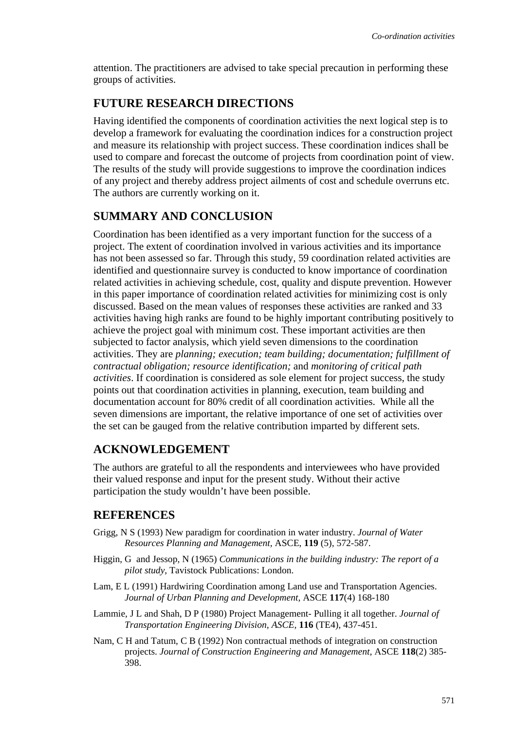attention. The practitioners are advised to take special precaution in performing these groups of activities.

## **FUTURE RESEARCH DIRECTIONS**

Having identified the components of coordination activities the next logical step is to develop a framework for evaluating the coordination indices for a construction project and measure its relationship with project success. These coordination indices shall be used to compare and forecast the outcome of projects from coordination point of view. The results of the study will provide suggestions to improve the coordination indices of any project and thereby address project ailments of cost and schedule overruns etc. The authors are currently working on it.

## **SUMMARY AND CONCLUSION**

Coordination has been identified as a very important function for the success of a project. The extent of coordination involved in various activities and its importance has not been assessed so far. Through this study, 59 coordination related activities are identified and questionnaire survey is conducted to know importance of coordination related activities in achieving schedule, cost, quality and dispute prevention. However in this paper importance of coordination related activities for minimizing cost is only discussed. Based on the mean values of responses these activities are ranked and 33 activities having high ranks are found to be highly important contributing positively to achieve the project goal with minimum cost. These important activities are then subjected to factor analysis, which yield seven dimensions to the coordination activities. They are *planning; execution; team building; documentation; fulfillment of contractual obligation; resource identification;* and *monitoring of critical path activities*. If coordination is considered as sole element for project success, the study points out that coordination activities in planning, execution, team building and documentation account for 80% credit of all coordination activities. While all the seven dimensions are important, the relative importance of one set of activities over the set can be gauged from the relative contribution imparted by different sets.

# **ACKNOWLEDGEMENT**

The authors are grateful to all the respondents and interviewees who have provided their valued response and input for the present study. Without their active participation the study wouldn't have been possible.

## **REFERENCES**

- Grigg, N S (1993) New paradigm for coordination in water industry. *Journal of Water Resources Planning and Management,* ASCE, **119** (5), 572-587.
- Higgin, G and Jessop, N (1965) *Communications in the building industry: The report of a pilot study*, Tavistock Publications: London.
- Lam, E L (1991) Hardwiring Coordination among Land use and Transportation Agencies. *Journal of Urban Planning and Development,* ASCE **117**(4) 168-180
- Lammie, J L and Shah, D P (1980) Project Management- Pulling it all together. *Journal of Transportation Engineering Division, ASCE,* **116** (TE4), 437-451.
- Nam, C H and Tatum, C B (1992) Non contractual methods of integration on construction projects. *Journal of Construction Engineering and Management,* ASCE **118**(2) 385- 398.